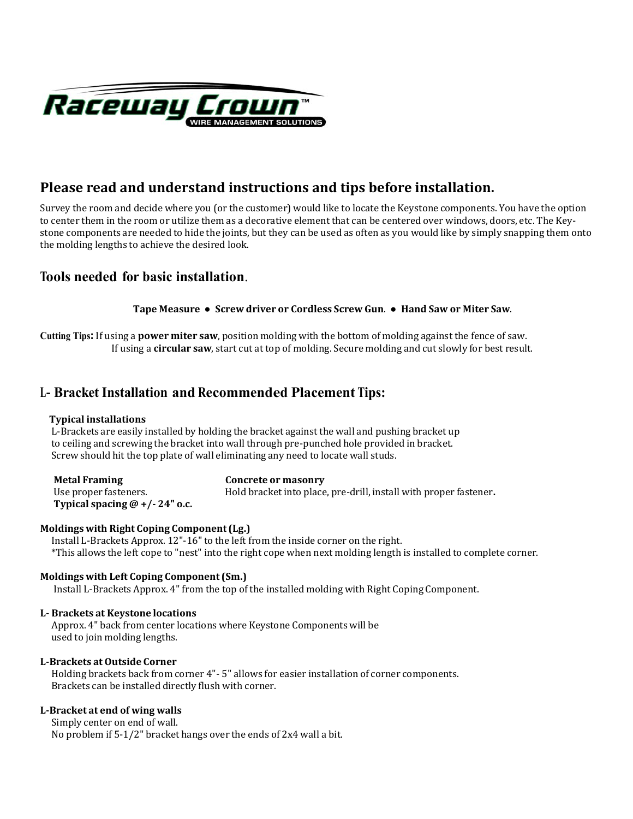

# **Please read and understand instructions and tips before installation.**

Survey the room and decide where you (or the customer) would like to locate the Keystone components. You have the option to center them in the room or utilize them as a decorative element that can be centered over windows, doors, etc. The Keystone components are needed to hide the joints, but they can be used as often as you would like by simply snapping them onto the molding lengths to achieve the desired look.

# **Tools needed for basic installation**.

## **T rew driver or Cordless Screw Gun**. ● **Hand Saw or Miter Saw**. **ape Measure ● Sc**

Cutting Tips: If using a power miter saw, position molding with the bottom of molding against the fence of saw. If using a **circular saw**, start cut at top of molding. Secure molding and cut slowly for best result.

# **<sup>L</sup>‐ Bracket Installa ion t and Recommended Placement Tips:**

## **Typical installations**

L‐Brackets are easily installed by holding the bracket against the wall and pushing bracket up to ceiling and screwing the bracket into wall through pre‐punched hole provided in bracket. Screw should hit the top plate of wall eliminating any need to locate wall studs.

| <b>Metal Framing</b>           | Concrete or masonry                                               |
|--------------------------------|-------------------------------------------------------------------|
| Use proper fasteners.          | Hold bracket into place, pre-drill, install with proper fastener. |
| Typical spacing $@+/-24"$ o.c. |                                                                   |

# **Moldings with Right Coping Component (Lg.)**

Install L‐Brackets Approx. 12"‐16" to the left from the inside corner on the right. \*This allows the left cope to "nest" into the right cope when next molding length is installed to complete corner.

# **Moldings with Left Coping Component (Sm.)**

Install L‐Brackets Approx. 4" from the top of the installed molding with Right Coping Component.

# **L Brackets at Keystone locations**

Approx. 4" back from center locations where Keystone Components will be used to join molding lengths.

## **LBrackets at Outside Corner**

Holding brackets back from corner 4"‐ 5" allows for easier installation of corner components. Brackets can be installed directly flush with corner.

## **LBracket at end of wing walls**

Simply center on end of wall. No problem if 5‐1/2" bracket hangs over the ends of 2x4 wall a bit.